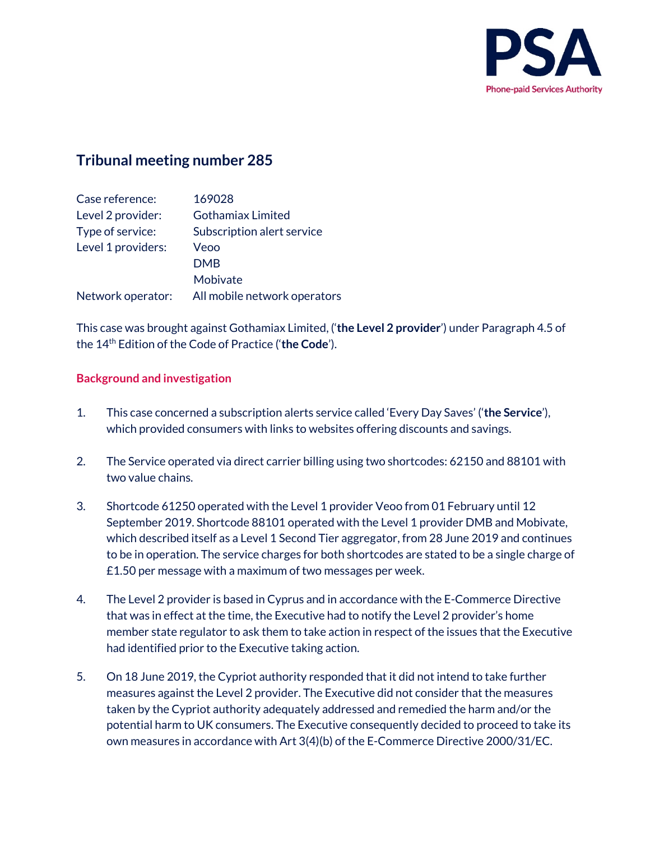

# **Tribunal meeting number 285**

| Case reference:    | 169028                       |
|--------------------|------------------------------|
| Level 2 provider:  | <b>Gothamiax Limited</b>     |
| Type of service:   | Subscription alert service   |
| Level 1 providers: | Veoo                         |
|                    | <b>DMB</b>                   |
|                    | Mobivate                     |
| Network operator:  | All mobile network operators |

This case was brought against Gothamiax Limited, ('**the Level 2 provider**') under Paragraph 4.5 of the 14th Edition of the Code of Practice ('**the Code**').

# **Background and investigation**

- 1. This case concerned a subscription alerts service called 'Every Day Saves' ('**the Service**'), which provided consumers with links to websites offering discounts and savings.
- 2. The Service operated via direct carrier billing using two shortcodes: 62150 and 88101 with two value chains.
- 3. Shortcode 61250 operated with the Level 1 provider Veoo from 01 February until 12 September 2019. Shortcode 88101 operated with the Level 1 provider DMB and Mobivate, which described itself as a Level 1 Second Tier aggregator, from 28 June 2019 and continues to be in operation. The service charges for both shortcodes are stated to be a single charge of £1.50 per message with a maximum of two messages per week.
- 4. The Level 2 provider is based in Cyprus and in accordance with the E-Commerce Directive that was in effect at the time, the Executive had to notify the Level 2 provider's home member state regulator to ask them to take action in respect of the issues that the Executive had identified prior to the Executive taking action.
- 5. On 18 June 2019, the Cypriot authority responded that it did not intend to take further measures against the Level 2 provider. The Executive did not consider that the measures taken by the Cypriot authority adequately addressed and remedied the harm and/or the potential harm to UK consumers. The Executive consequently decided to proceed to take its own measures in accordance with Art 3(4)(b) of the E-Commerce Directive 2000/31/EC.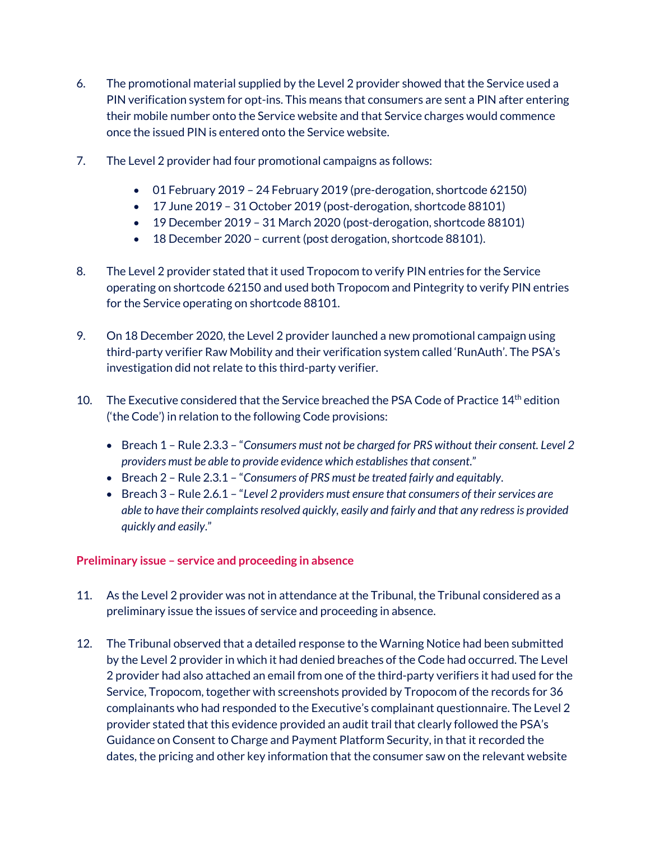- 6. The promotional material supplied by the Level 2 provider showed that the Service used a PIN verification system for opt-ins. This means that consumers are sent a PIN after entering their mobile number onto the Service website and that Service charges would commence once the issued PIN is entered onto the Service website.
- 7. The Level 2 provider had four promotional campaigns as follows:
	- 01 February 2019 24 February 2019 (pre-derogation, shortcode 62150)
	- 17 June 2019 31 October 2019 (post-derogation, shortcode 88101)
	- 19 December 2019 31 March 2020 (post-derogation, shortcode 88101)
	- 18 December 2020 current (post derogation, shortcode 88101).
- 8. The Level 2 provider stated that it used Tropocom to verify PIN entries for the Service operating on shortcode 62150 and used both Tropocom and Pintegrity to verify PIN entries for the Service operating on shortcode 88101.
- 9. On 18 December 2020, the Level 2 provider launched a new promotional campaign using third-party verifier Raw Mobility and their verification system called 'RunAuth'. The PSA's investigation did not relate to this third-party verifier.
- 10. The Executive considered that the Service breached the PSA Code of Practice 14<sup>th</sup> edition ('the Code') in relation to the following Code provisions:
	- Breach 1 Rule 2.3.3 "*Consumers must not be charged for PRS without their consent. Level 2 providers must be able to provide evidence which establishes that consent*."
	- Breach 2 Rule 2.3.1 "*Consumers of PRS must be treated fairly and equitably*.
	- Breach 3 Rule 2.6.1 "*Level 2 providers must ensure that consumers of their services are able to have their complaints resolved quickly, easily and fairly and that any redress is provided quickly and easily*."

# **Preliminary issue – service and proceeding in absence**

- 11. As the Level 2 provider was not in attendance at the Tribunal, the Tribunal considered as a preliminary issue the issues of service and proceeding in absence.
- 12. The Tribunal observed that a detailed response to the Warning Notice had been submitted by the Level 2 provider in which it had denied breaches of the Code had occurred. The Level 2 provider had also attached an email from one of the third-party verifiers it had used for the Service, Tropocom, together with screenshots provided by Tropocom of the records for 36 complainants who had responded to the Executive's complainant questionnaire. The Level 2 provider stated that this evidence provided an audit trail that clearly followed the PSA's Guidance on Consent to Charge and Payment Platform Security, in that it recorded the dates, the pricing and other key information that the consumer saw on the relevant website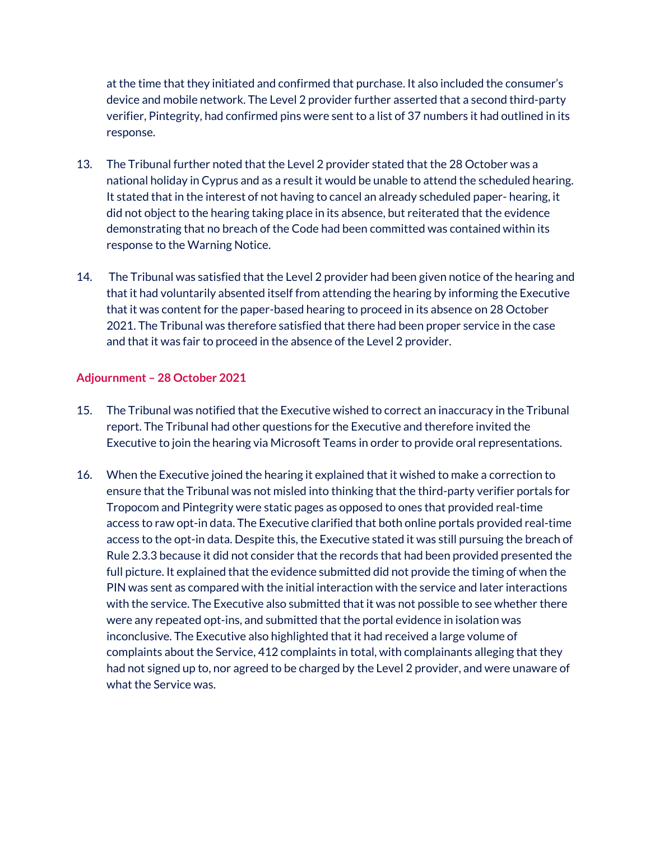at the time that they initiated and confirmed that purchase. It also included the consumer's device and mobile network. The Level 2 provider further asserted that a second third-party verifier, Pintegrity, had confirmed pins were sent to a list of 37 numbers it had outlined in its response.

- 13. The Tribunal further noted that the Level 2 provider stated that the 28 October was a national holiday in Cyprus and as a result it would be unable to attend the scheduled hearing. It stated that in the interest of not having to cancel an already scheduled paper- hearing, it did not object to the hearing taking place in its absence, but reiterated that the evidence demonstrating that no breach of the Code had been committed was contained within its response to the Warning Notice.
- 14. The Tribunal was satisfied that the Level 2 provider had been given notice of the hearing and that it had voluntarily absented itself from attending the hearing by informing the Executive that it was content for the paper-based hearing to proceed in its absence on 28 October 2021. The Tribunal was therefore satisfied that there had been proper service in the case and that it was fair to proceed in the absence of the Level 2 provider.

## **Adjournment – 28 October 2021**

- 15. The Tribunal was notified that the Executive wished to correct an inaccuracy in the Tribunal report. The Tribunal had other questions for the Executive and therefore invited the Executive to join the hearing via Microsoft Teams in order to provide oral representations.
- 16. When the Executive joined the hearing it explained that it wished to make a correction to ensure that the Tribunal was not misled into thinking that the third-party verifier portals for Tropocom and Pintegrity were static pages as opposed to ones that provided real-time access to raw opt-in data. The Executive clarified that both online portals provided real-time access to the opt-in data. Despite this, the Executive stated it was still pursuing the breach of Rule 2.3.3 because it did not consider that the records that had been provided presented the full picture. It explained that the evidence submitted did not provide the timing of when the PIN was sent as compared with the initial interaction with the service and later interactions with the service. The Executive also submitted that it was not possible to see whether there were any repeated opt-ins, and submitted that the portal evidence in isolation was inconclusive. The Executive also highlighted that it had received a large volume of complaints about the Service, 412 complaints in total, with complainants alleging that they had not signed up to, nor agreed to be charged by the Level 2 provider, and were unaware of what the Service was.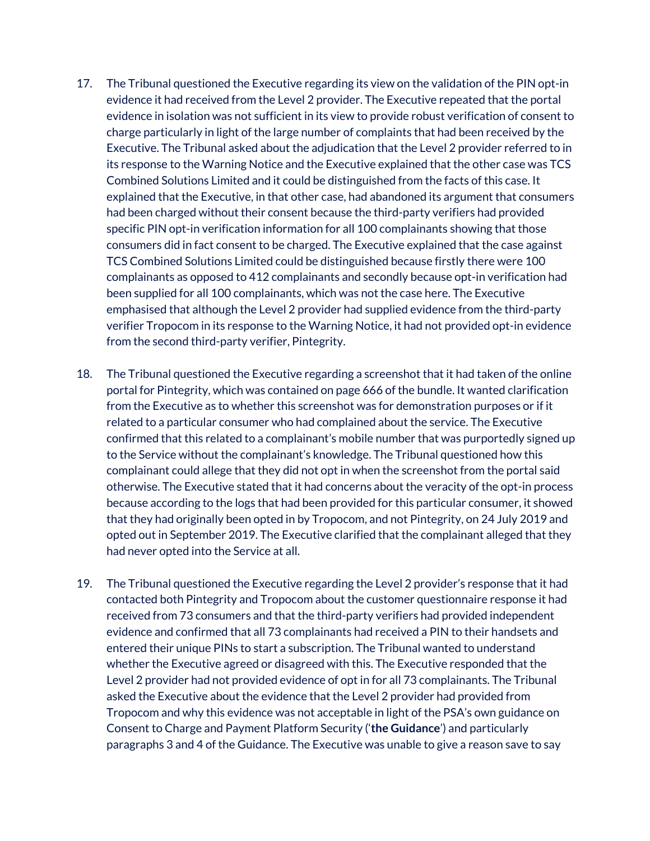- 17. The Tribunal questioned the Executive regarding its view on the validation of the PIN opt-in evidence it had received from the Level 2 provider. The Executive repeated that the portal evidence in isolation was not sufficient in its view to provide robust verification of consent to charge particularly in light of the large number of complaints that had been received by the Executive. The Tribunal asked about the adjudication that the Level 2 provider referred to in its response to the Warning Notice and the Executive explained that the other case was TCS Combined Solutions Limited and it could be distinguished from the facts of this case. It explained that the Executive, in that other case, had abandoned its argument that consumers had been charged without their consent because the third-party verifiers had provided specific PIN opt-in verification information for all 100 complainants showing that those consumers did in fact consent to be charged. The Executive explained that the case against TCS Combined Solutions Limited could be distinguished because firstly there were 100 complainants as opposed to 412 complainants and secondly because opt-in verification had been supplied for all 100 complainants, which was not the case here. The Executive emphasised that although the Level 2 provider had supplied evidence from the third-party verifier Tropocom in its response to the Warning Notice, it had not provided opt-in evidence from the second third-party verifier, Pintegrity.
- 18. The Tribunal questioned the Executive regarding a screenshot that it had taken of the online portal for Pintegrity, which was contained on page 666 of the bundle. It wanted clarification from the Executive as to whether this screenshot was for demonstration purposes or if it related to a particular consumer who had complained about the service. The Executive confirmed that this related to a complainant's mobile number that was purportedly signed up to the Service without the complainant's knowledge. The Tribunal questioned how this complainant could allege that they did not opt in when the screenshot from the portal said otherwise. The Executive stated that it had concerns about the veracity of the opt-in process because according to the logs that had been provided for this particular consumer, it showed that they had originally been opted in by Tropocom, and not Pintegrity, on 24 July 2019 and opted out in September 2019. The Executive clarified that the complainant alleged that they had never opted into the Service at all.
- 19. The Tribunal questioned the Executive regarding the Level 2 provider's response that it had contacted both Pintegrity and Tropocom about the customer questionnaire response it had received from 73 consumers and that the third-party verifiers had provided independent evidence and confirmed that all 73 complainants had received a PIN to their handsets and entered their unique PINs to start a subscription. The Tribunal wanted to understand whether the Executive agreed or disagreed with this. The Executive responded that the Level 2 provider had not provided evidence of opt in for all 73 complainants. The Tribunal asked the Executive about the evidence that the Level 2 provider had provided from Tropocom and why this evidence was not acceptable in light of the PSA's own guidance on Consent to Charge and Payment Platform Security ('**the Guidance**') and particularly paragraphs 3 and 4 of the Guidance. The Executive was unable to give a reason save to say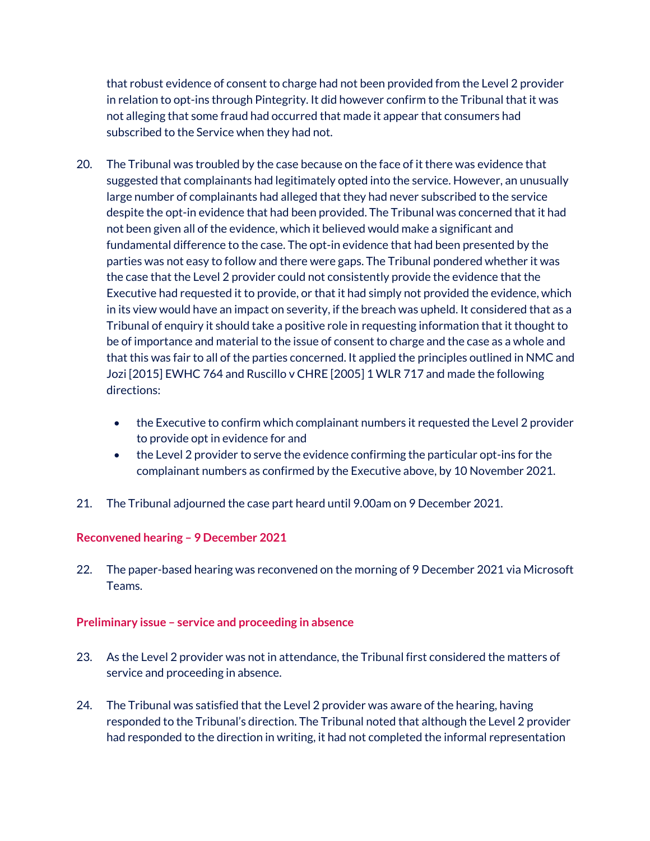that robust evidence of consent to charge had not been provided from the Level 2 provider in relation to opt-ins through Pintegrity. It did however confirm to the Tribunal that it was not alleging that some fraud had occurred that made it appear that consumers had subscribed to the Service when they had not.

- 20. The Tribunal was troubled by the case because on the face of it there was evidence that suggested that complainants had legitimately opted into the service. However, an unusually large number of complainants had alleged that they had never subscribed to the service despite the opt-in evidence that had been provided. The Tribunal was concerned that it had not been given all of the evidence, which it believed would make a significant and fundamental difference to the case. The opt-in evidence that had been presented by the parties was not easy to follow and there were gaps. The Tribunal pondered whether it was the case that the Level 2 provider could not consistently provide the evidence that the Executive had requested it to provide, or that it had simply not provided the evidence, which in its view would have an impact on severity, if the breach was upheld. It considered that as a Tribunal of enquiry it should take a positive role in requesting information that it thought to be of importance and material to the issue of consent to charge and the case as a whole and that this was fair to all of the parties concerned. It applied the principles outlined in NMC and Jozi [2015] EWHC 764 and Ruscillo v CHRE [2005] 1 WLR 717 and made the following directions:
	- the Executive to confirm which complainant numbers it requested the Level 2 provider to provide opt in evidence for and
	- the Level 2 provider to serve the evidence confirming the particular opt-ins for the complainant numbers as confirmed by the Executive above, by 10 November 2021.
- 21. The Tribunal adjourned the case part heard until 9.00am on 9 December 2021.

## **Reconvened hearing – 9 December 2021**

22. The paper-based hearing was reconvened on the morning of 9 December 2021 via Microsoft Teams.

## **Preliminary issue – service and proceeding in absence**

- 23. As the Level 2 provider was not in attendance, the Tribunal first considered the matters of service and proceeding in absence.
- 24. The Tribunal was satisfied that the Level 2 provider was aware of the hearing, having responded to the Tribunal's direction. The Tribunal noted that although the Level 2 provider had responded to the direction in writing, it had not completed the informal representation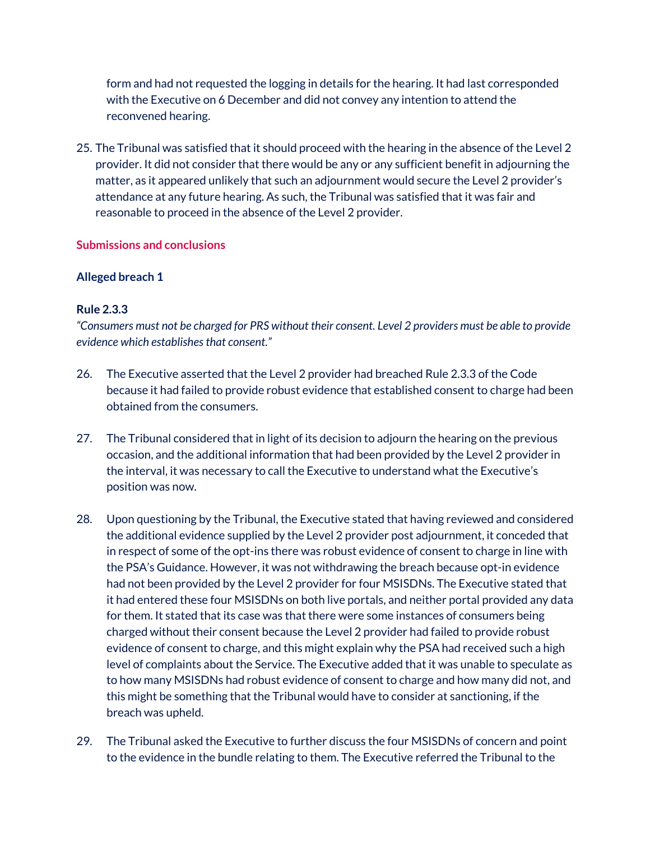form and had not requested the logging in details for the hearing. It had last corresponded with the Executive on 6 December and did not convey any intention to attend the reconvened hearing.

25. The Tribunal was satisfied that it should proceed with the hearing in the absence of the Level 2 provider. It did not consider that there would be any or any sufficient benefit in adjourning the matter, as it appeared unlikely that such an adjournment would secure the Level 2 provider's attendance at any future hearing. As such, the Tribunal was satisfied that it was fair and reasonable to proceed in the absence of the Level 2 provider.

# **Submissions and conclusions**

# **Alleged breach 1**

# **Rule 2.3.3**

*"Consumers must not be charged for PRS without their consent. Level 2 providers must be able to provide evidence which establishes that consent."*

- 26. The Executive asserted that the Level 2 provider had breached Rule 2.3.3 of the Code because it had failed to provide robust evidence that established consent to charge had been obtained from the consumers.
- 27. The Tribunal considered that in light of its decision to adjourn the hearing on the previous occasion, and the additional information that had been provided by the Level 2 provider in the interval, it was necessary to call the Executive to understand what the Executive's position was now.
- 28. Upon questioning by the Tribunal, the Executive stated that having reviewed and considered the additional evidence supplied by the Level 2 provider post adjournment, it conceded that in respect of some of the opt-ins there was robust evidence of consent to charge in line with the PSA's Guidance. However, it was not withdrawing the breach because opt-in evidence had not been provided by the Level 2 provider for four MSISDNs. The Executive stated that it had entered these four MSISDNs on both live portals, and neither portal provided any data for them. It stated that its case was that there were some instances of consumers being charged without their consent because the Level 2 provider had failed to provide robust evidence of consent to charge, and this might explain why the PSA had received such a high level of complaints about the Service. The Executive added that it was unable to speculate as to how many MSISDNs had robust evidence of consent to charge and how many did not, and this might be something that the Tribunal would have to consider at sanctioning, if the breach was upheld.
- 29. The Tribunal asked the Executive to further discuss the four MSISDNs of concern and point to the evidence in the bundle relating to them. The Executive referred the Tribunal to the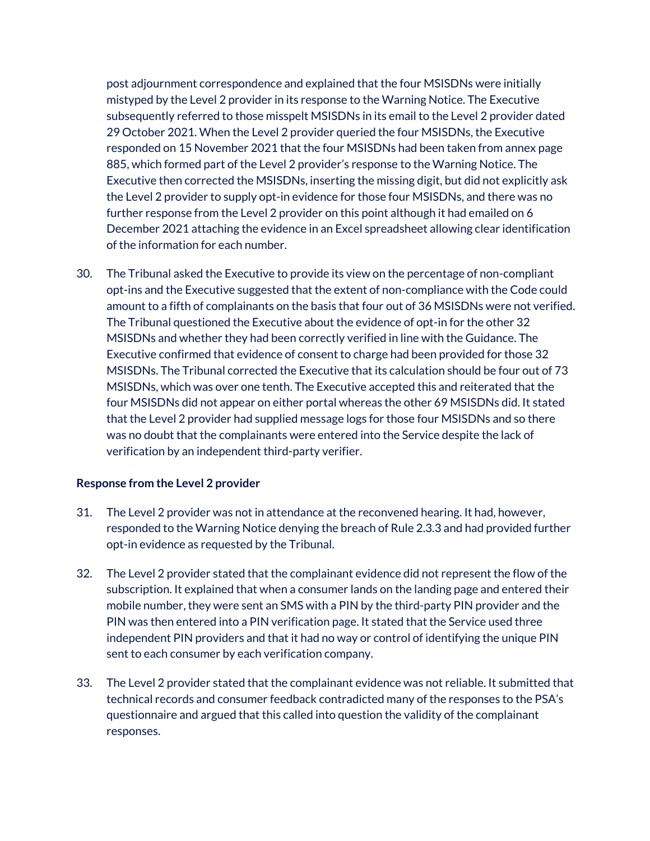post adjournment correspondence and explained that the four MSISDNs were initially mistyped by the Level 2 provider in its response to the Warning Notice. The Executive subsequently referred to those misspelt MSISDNs in its email to the Level 2 provider dated 29 October 2021. When the Level 2 provider queried the four MSISDNs, the Executive responded on 15 November 2021 that the four MSISDNs had been taken from annex page 885, which formed part of the Level 2 provider's response to the Warning Notice. The Executive then corrected the MSISDNs, inserting the missing digit, but did not explicitly ask the Level 2 provider to supply opt-in evidence for those four MSISDNs, and there was no further response from the Level 2 provider on this point although it had emailed on 6 December 2021 attaching the evidence in an Excel spreadsheet allowing clear identification of the information for each number.

30. The Tribunal asked the Executive to provide its view on the percentage of non-compliant opt-ins and the Executive suggested that the extent of non-compliance with the Code could amount to a fifth of complainants on the basis that four out of 36 MSISDNs were not verified. The Tribunal questioned the Executive about the evidence of opt-in for the other 32 MSISDNs and whether they had been correctly verified in line with the Guidance. The Executive confirmed that evidence of consent to charge had been provided for those 32 MSISDNs. The Tribunal corrected the Executive that its calculation should be four out of 73 MSISDNs, which was over one tenth. The Executive accepted this and reiterated that the four MSISDNs did not appear on either portal whereas the other 69 MSISDNs did. It stated that the Level 2 provider had supplied message logs for those four MSISDNs and so there was no doubt that the complainants were entered into the Service despite the lack of verification by an independent third-party verifier.

## **Response from the Level 2 provider**

- 31. The Level 2 provider was not in attendance at the reconvened hearing. It had, however, responded to the Warning Notice denying the breach of Rule 2.3.3 and had provided further opt-in evidence as requested by the Tribunal.
- 32. The Level 2 provider stated that the complainant evidence did not represent the flow of the subscription. It explained that when a consumer lands on the landing page and entered their mobile number, they were sent an SMS with a PIN by the third-party PIN provider and the PIN was then entered into a PIN verification page. It stated that the Service used three independent PIN providers and that it had no way or control of identifying the unique PIN sent to each consumer by each verification company.
- 33. The Level 2 provider stated that the complainant evidence was not reliable. It submitted that technical records and consumer feedback contradicted many of the responses to the PSA's questionnaire and argued that this called into question the validity of the complainant responses.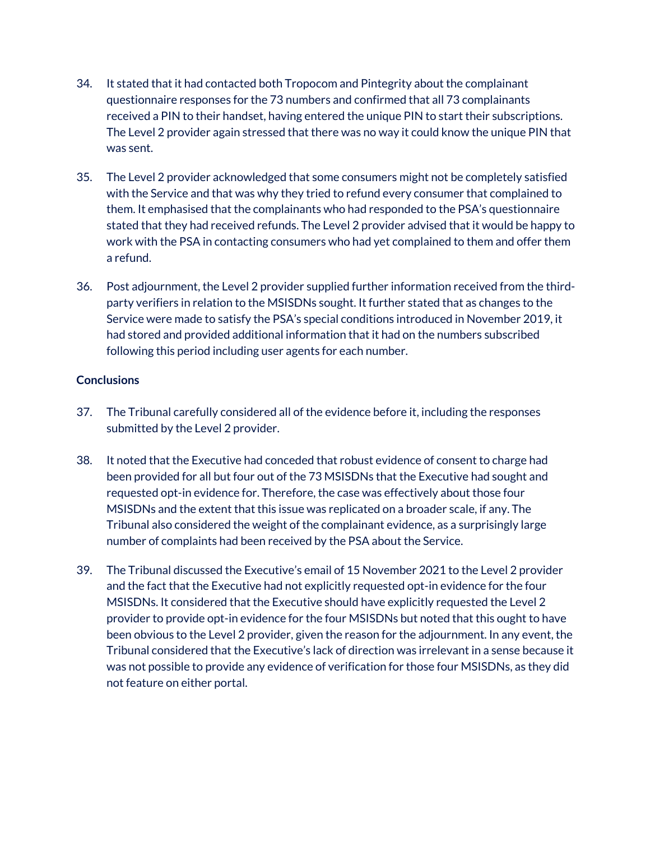- 34. It stated that it had contacted both Tropocom and Pintegrity about the complainant questionnaire responses for the 73 numbers and confirmed that all 73 complainants received a PIN to their handset, having entered the unique PIN to start their subscriptions. The Level 2 provider again stressed that there was no way it could know the unique PIN that was sent.
- 35. The Level 2 provider acknowledged that some consumers might not be completely satisfied with the Service and that was why they tried to refund every consumer that complained to them. It emphasised that the complainants who had responded to the PSA's questionnaire stated that they had received refunds. The Level 2 provider advised that it would be happy to work with the PSA in contacting consumers who had yet complained to them and offer them a refund.
- 36. Post adjournment, the Level 2 provider supplied further information received from the thirdparty verifiers in relation to the MSISDNs sought. It further stated that as changes to the Service were made to satisfy the PSA's special conditions introduced in November 2019, it had stored and provided additional information that it had on the numbers subscribed following this period including user agents for each number.

# **Conclusions**

- 37. The Tribunal carefully considered all of the evidence before it, including the responses submitted by the Level 2 provider.
- 38. It noted that the Executive had conceded that robust evidence of consent to charge had been provided for all but four out of the 73 MSISDNs that the Executive had sought and requested opt-in evidence for. Therefore, the case was effectively about those four MSISDNs and the extent that this issue was replicated on a broader scale, if any. The Tribunal also considered the weight of the complainant evidence, as a surprisingly large number of complaints had been received by the PSA about the Service.
- 39. The Tribunal discussed the Executive's email of 15 November 2021 to the Level 2 provider and the fact that the Executive had not explicitly requested opt-in evidence for the four MSISDNs. It considered that the Executive should have explicitly requested the Level 2 provider to provide opt-in evidence for the four MSISDNs but noted that this ought to have been obvious to the Level 2 provider, given the reason for the adjournment. In any event, the Tribunal considered that the Executive's lack of direction was irrelevant in a sense because it was not possible to provide any evidence of verification for those four MSISDNs, as they did not feature on either portal.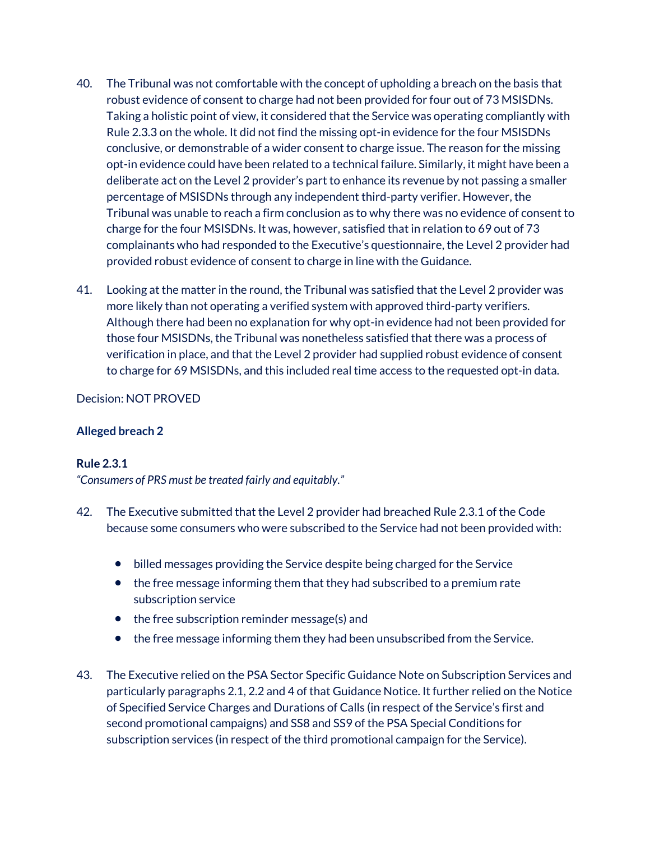- 40. The Tribunal was not comfortable with the concept of upholding a breach on the basis that robust evidence of consent to charge had not been provided for four out of 73 MSISDNs. Taking a holistic point of view, it considered that the Service was operating compliantly with Rule 2.3.3 on the whole. It did not find the missing opt-in evidence for the four MSISDNs conclusive, or demonstrable of a wider consent to charge issue. The reason for the missing opt-in evidence could have been related to a technical failure. Similarly, it might have been a deliberate act on the Level 2 provider's part to enhance its revenue by not passing a smaller percentage of MSISDNs through any independent third-party verifier. However, the Tribunal was unable to reach a firm conclusion as to why there was no evidence of consent to charge for the four MSISDNs. It was, however, satisfied that in relation to 69 out of 73 complainants who had responded to the Executive's questionnaire, the Level 2 provider had provided robust evidence of consent to charge in line with the Guidance.
- 41. Looking at the matter in the round, the Tribunal was satisfied that the Level 2 provider was more likely than not operating a verified system with approved third-party verifiers. Although there had been no explanation for why opt-in evidence had not been provided for those four MSISDNs, the Tribunal was nonetheless satisfied that there was a process of verification in place, and that the Level 2 provider had supplied robust evidence of consent to charge for 69 MSISDNs, and this included real time access to the requested opt-in data.

## Decision: NOT PROVED

# **Alleged breach 2**

# **Rule 2.3.1**

*"Consumers of PRS must be treated fairly and equitably."*

- 42. The Executive submitted that the Level 2 provider had breached Rule 2.3.1 of the Code because some consumers who were subscribed to the Service had not been provided with:
	- billed messages providing the Service despite being charged for the Service
	- the free message informing them that they had subscribed to a premium rate subscription service
	- the free subscription reminder message(s) and
	- the free message informing them they had been unsubscribed from the Service.
- 43. The Executive relied on the PSA Sector Specific Guidance Note on Subscription Services and particularly paragraphs 2.1, 2.2 and 4 of that Guidance Notice. It further relied on the Notice of Specified Service Charges and Durations of Calls (in respect of the Service's first and second promotional campaigns) and SS8 and SS9 of the PSA Special Conditions for subscription services (in respect of the third promotional campaign for the Service).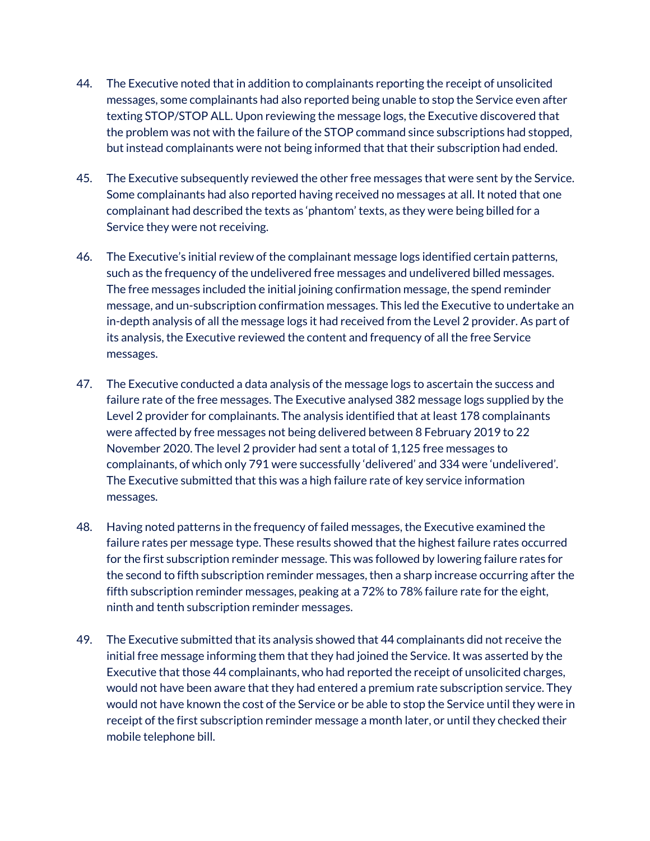- 44. The Executive noted that in addition to complainants reporting the receipt of unsolicited messages, some complainants had also reported being unable to stop the Service even after texting STOP/STOP ALL. Upon reviewing the message logs, the Executive discovered that the problem was not with the failure of the STOP command since subscriptions had stopped, but instead complainants were not being informed that that their subscription had ended.
- 45. The Executive subsequently reviewed the other free messages that were sent by the Service. Some complainants had also reported having received no messages at all. It noted that one complainant had described the texts as 'phantom' texts, as they were being billed for a Service they were not receiving.
- 46. The Executive's initial review of the complainant message logs identified certain patterns, such as the frequency of the undelivered free messages and undelivered billed messages. The free messages included the initial joining confirmation message, the spend reminder message, and un-subscription confirmation messages. This led the Executive to undertake an in-depth analysis of all the message logs it had received from the Level 2 provider. As part of its analysis, the Executive reviewed the content and frequency of all the free Service messages.
- 47. The Executive conducted a data analysis of the message logs to ascertain the success and failure rate of the free messages. The Executive analysed 382 message logs supplied by the Level 2 provider for complainants. The analysis identified that at least 178 complainants were affected by free messages not being delivered between 8 February 2019 to 22 November 2020. The level 2 provider had sent a total of 1,125 free messages to complainants, of which only 791 were successfully 'delivered' and 334 were 'undelivered'. The Executive submitted that this was a high failure rate of key service information messages.
- 48. Having noted patterns in the frequency of failed messages, the Executive examined the failure rates per message type. These results showed that the highest failure rates occurred for the first subscription reminder message. This was followed by lowering failure rates for the second to fifth subscription reminder messages, then a sharp increase occurring after the fifth subscription reminder messages, peaking at a 72% to 78% failure rate for the eight, ninth and tenth subscription reminder messages.
- 49. The Executive submitted that its analysis showed that 44 complainants did not receive the initial free message informing them that they had joined the Service. It was asserted by the Executive that those 44 complainants, who had reported the receipt of unsolicited charges, would not have been aware that they had entered a premium rate subscription service. They would not have known the cost of the Service or be able to stop the Service until they were in receipt of the first subscription reminder message a month later, or until they checked their mobile telephone bill.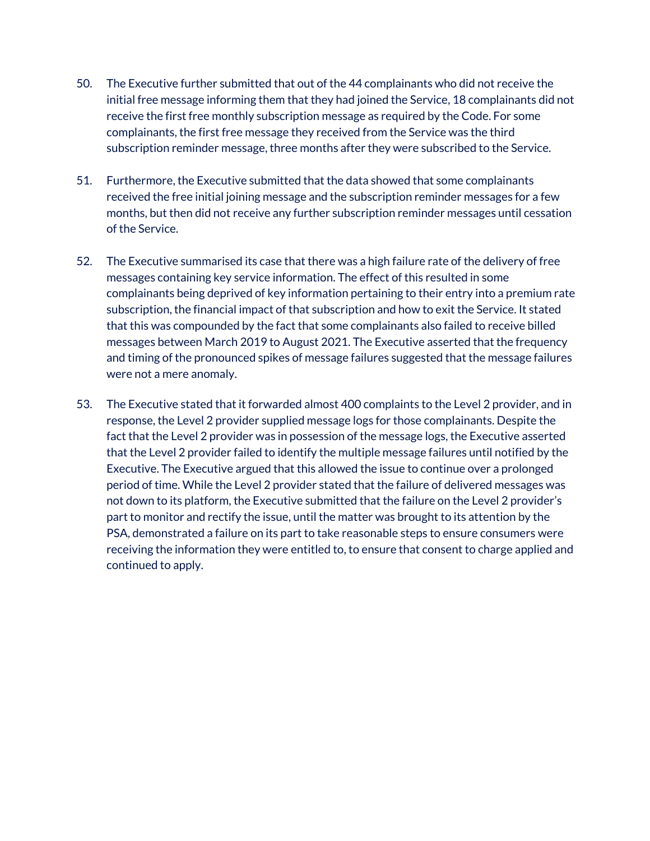- 50. The Executive further submitted that out of the 44 complainants who did not receive the initial free message informing them that they had joined the Service, 18 complainants did not receive the first free monthly subscription message as required by the Code. For some complainants, the first free message they received from the Service was the third subscription reminder message, three months after they were subscribed to the Service.
- 51. Furthermore, the Executive submitted that the data showed that some complainants received the free initial joining message and the subscription reminder messages for a few months, but then did not receive any further subscription reminder messages until cessation of the Service.
- 52. The Executive summarised its case that there was a high failure rate of the delivery of free messages containing key service information. The effect of this resulted in some complainants being deprived of key information pertaining to their entry into a premium rate subscription, the financial impact of that subscription and how to exit the Service. It stated that this was compounded by the fact that some complainants also failed to receive billed messages between March 2019 to August 2021. The Executive asserted that the frequency and timing of the pronounced spikes of message failures suggested that the message failures were not a mere anomaly.
- 53. The Executive stated that it forwarded almost 400 complaints to the Level 2 provider, and in response, the Level 2 provider supplied message logs for those complainants. Despite the fact that the Level 2 provider was in possession of the message logs, the Executive asserted that the Level 2 provider failed to identify the multiple message failures until notified by the Executive. The Executive argued that this allowed the issue to continue over a prolonged period of time. While the Level 2 provider stated that the failure of delivered messages was not down to its platform, the Executive submitted that the failure on the Level 2 provider's part to monitor and rectify the issue, until the matter was brought to its attention by the PSA, demonstrated a failure on its part to take reasonable steps to ensure consumers were receiving the information they were entitled to, to ensure that consent to charge applied and continued to apply.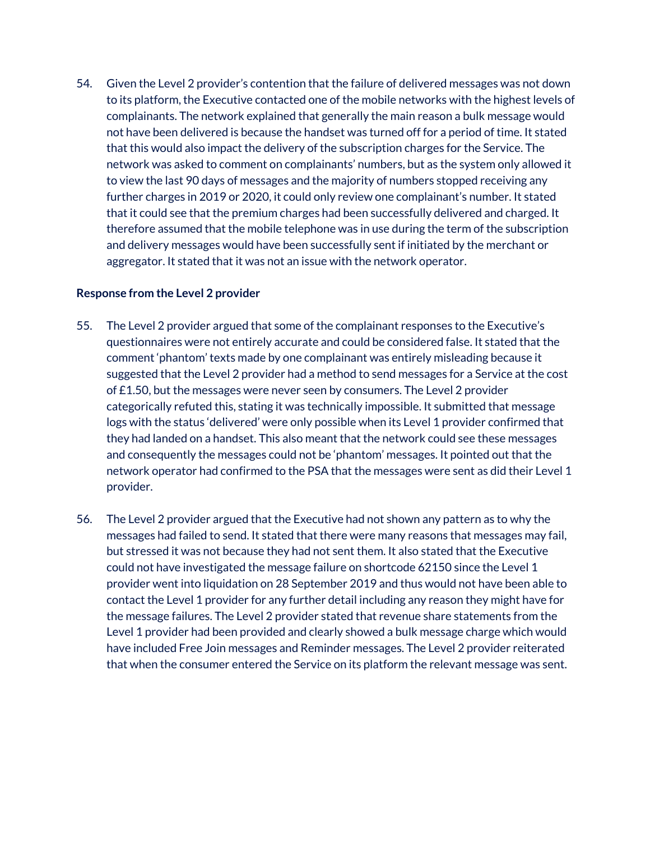54. Given the Level 2 provider's contention that the failure of delivered messages was not down to its platform, the Executive contacted one of the mobile networks with the highest levels of complainants. The network explained that generally the main reason a bulk message would not have been delivered is because the handset was turned off for a period of time. It stated that this would also impact the delivery of the subscription charges for the Service. The network was asked to comment on complainants' numbers, but as the system only allowed it to view the last 90 days of messages and the majority of numbers stopped receiving any further charges in 2019 or 2020, it could only review one complainant's number. It stated that it could see that the premium charges had been successfully delivered and charged. It therefore assumed that the mobile telephone was in use during the term of the subscription and delivery messages would have been successfully sent if initiated by the merchant or aggregator. It stated that it was not an issue with the network operator.

## **Response from the Level 2 provider**

- 55. The Level 2 provider argued that some of the complainant responses to the Executive's questionnaires were not entirely accurate and could be considered false. It stated that the comment 'phantom' texts made by one complainant was entirely misleading because it suggested that the Level 2 provider had a method to send messages for a Service at the cost of £1.50, but the messages were never seen by consumers. The Level 2 provider categorically refuted this, stating it was technically impossible. It submitted that message logs with the status 'delivered' were only possible when its Level 1 provider confirmed that they had landed on a handset. This also meant that the network could see these messages and consequently the messages could not be 'phantom' messages. It pointed out that the network operator had confirmed to the PSA that the messages were sent as did their Level 1 provider.
- 56. The Level 2 provider argued that the Executive had not shown any pattern as to why the messages had failed to send. It stated that there were many reasons that messages may fail, but stressed it was not because they had not sent them. It also stated that the Executive could not have investigated the message failure on shortcode 62150 since the Level 1 provider went into liquidation on 28 September 2019 and thus would not have been able to contact the Level 1 provider for any further detail including any reason they might have for the message failures. The Level 2 provider stated that revenue share statements from the Level 1 provider had been provided and clearly showed a bulk message charge which would have included Free Join messages and Reminder messages. The Level 2 provider reiterated that when the consumer entered the Service on its platform the relevant message was sent.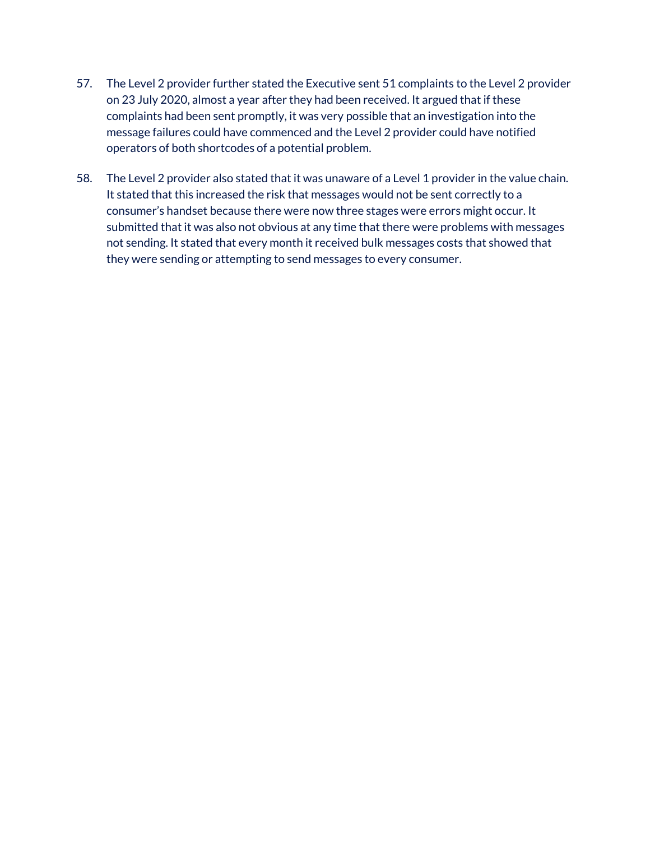- 57. The Level 2 provider further stated the Executive sent 51 complaints to the Level 2 provider on 23 July 2020, almost a year after they had been received. It argued that if these complaints had been sent promptly, it was very possible that an investigation into the message failures could have commenced and the Level 2 provider could have notified operators of both shortcodes of a potential problem.
- 58. The Level 2 provider also stated that it was unaware of a Level 1 provider in the value chain. It stated that this increased the risk that messages would not be sent correctly to a consumer's handset because there were now three stages were errors might occur. It submitted that it was also not obvious at any time that there were problems with messages not sending. It stated that every month it received bulk messages costs that showed that they were sending or attempting to send messages to every consumer.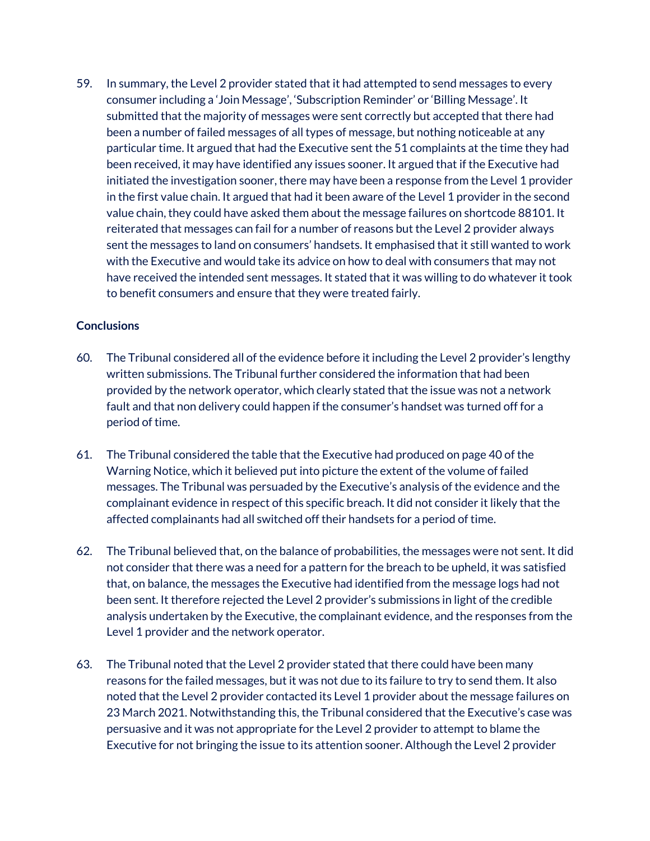59. In summary, the Level 2 provider stated that it had attempted to send messages to every consumer including a 'Join Message', 'Subscription Reminder' or 'Billing Message'. It submitted that the majority of messages were sent correctly but accepted that there had been a number of failed messages of all types of message, but nothing noticeable at any particular time. It argued that had the Executive sent the 51 complaints at the time they had been received, it may have identified any issues sooner. It argued that if the Executive had initiated the investigation sooner, there may have been a response from the Level 1 provider in the first value chain. It argued that had it been aware of the Level 1 provider in the second value chain, they could have asked them about the message failures on shortcode 88101. It reiterated that messages can fail for a number of reasons but the Level 2 provider always sent the messages to land on consumers' handsets. It emphasised that it still wanted to work with the Executive and would take its advice on how to deal with consumers that may not have received the intended sent messages. It stated that it was willing to do whatever it took to benefit consumers and ensure that they were treated fairly.

# **Conclusions**

- 60. The Tribunal considered all of the evidence before it including the Level 2 provider's lengthy written submissions. The Tribunal further considered the information that had been provided by the network operator, which clearly stated that the issue was not a network fault and that non delivery could happen if the consumer's handset was turned off for a period of time.
- 61. The Tribunal considered the table that the Executive had produced on page 40 of the Warning Notice, which it believed put into picture the extent of the volume of failed messages. The Tribunal was persuaded by the Executive's analysis of the evidence and the complainant evidence in respect of this specific breach. It did not consider it likely that the affected complainants had all switched off their handsets for a period of time.
- 62. The Tribunal believed that, on the balance of probabilities, the messages were not sent. It did not consider that there was a need for a pattern for the breach to be upheld, it was satisfied that, on balance, the messages the Executive had identified from the message logs had not been sent. It therefore rejected the Level 2 provider's submissions in light of the credible analysis undertaken by the Executive, the complainant evidence, and the responses from the Level 1 provider and the network operator.
- 63. The Tribunal noted that the Level 2 provider stated that there could have been many reasons for the failed messages, but it was not due to its failure to try to send them. It also noted that the Level 2 provider contacted its Level 1 provider about the message failures on 23 March 2021. Notwithstanding this, the Tribunal considered that the Executive's case was persuasive and it was not appropriate for the Level 2 provider to attempt to blame the Executive for not bringing the issue to its attention sooner. Although the Level 2 provider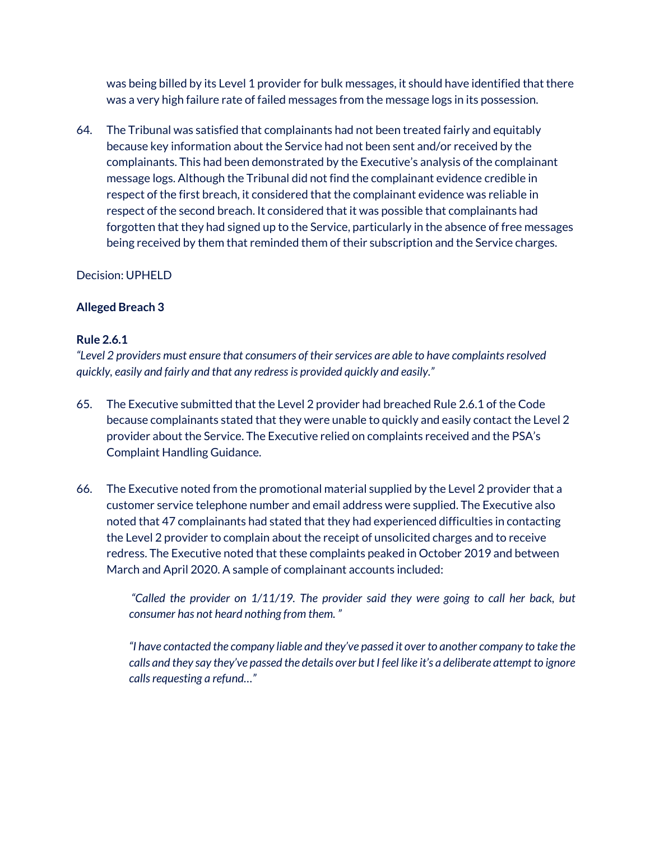was being billed by its Level 1 provider for bulk messages, it should have identified that there was a very high failure rate of failed messages from the message logs in its possession.

64. The Tribunal was satisfied that complainants had not been treated fairly and equitably because key information about the Service had not been sent and/or received by the complainants. This had been demonstrated by the Executive's analysis of the complainant message logs. Although the Tribunal did not find the complainant evidence credible in respect of the first breach, it considered that the complainant evidence was reliable in respect of the second breach. It considered that it was possible that complainants had forgotten that they had signed up to the Service, particularly in the absence of free messages being received by them that reminded them of their subscription and the Service charges.

# Decision: UPHELD

## **Alleged Breach 3**

## **Rule 2.6.1**

*"Level 2 providers must ensure that consumers of their services are able to have complaints resolved quickly, easily and fairly and that any redress is provided quickly and easily."*

- 65. The Executive submitted that the Level 2 provider had breached Rule 2.6.1 of the Code because complainants stated that they were unable to quickly and easily contact the Level 2 provider about the Service. The Executive relied on complaints received and the PSA's Complaint Handling Guidance.
- 66. The Executive noted from the promotional material supplied by the Level 2 provider that a customer service telephone number and email address were supplied. The Executive also noted that 47 complainants had stated that they had experienced difficulties in contacting the Level 2 provider to complain about the receipt of unsolicited charges and to receive redress. The Executive noted that these complaints peaked in October 2019 and between March and April 2020. A sample of complainant accounts included:

*"Called the provider on 1/11/19. The provider said they were going to call her back, but consumer has not heard nothing from them. "*

*"I have contacted the company liable and they've passed it over to another company to take the calls and they say they've passed the details over but I feel like it's a deliberate attempt to ignore calls requesting a refund…"*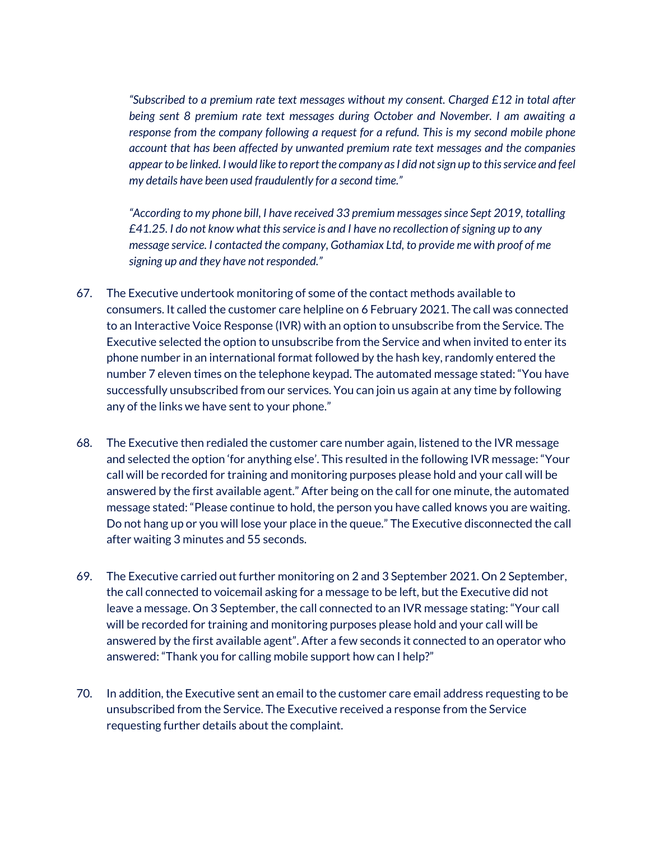*"Subscribed to a premium rate text messages without my consent. Charged £12 in total after being sent 8 premium rate text messages during October and November. I am awaiting a response from the company following a request for a refund. This is my second mobile phone account that has been affected by unwanted premium rate text messages and the companies appearto be linked. I would like to report the company as I did not sign up to this service and feel my details have been used fraudulently for a second time."*

*"According to my phone bill, I have received 33 premium messages since Sept 2019, totalling £41.25. I do not know what this service is and I have no recollection of signing up to any message service. I contacted the company, Gothamiax Ltd, to provide me with proof of me signing up and they have not responded."*

- 67. The Executive undertook monitoring of some of the contact methods available to consumers. It called the customer care helpline on 6 February 2021. The call was connected to an Interactive Voice Response (IVR) with an option to unsubscribe from the Service. The Executive selected the option to unsubscribe from the Service and when invited to enter its phone number in an international format followed by the hash key, randomly entered the number 7 eleven times on the telephone keypad. The automated message stated: "You have successfully unsubscribed from our services. You can join us again at any time by following any of the links we have sent to your phone."
- 68. The Executive then redialed the customer care number again, listened to the IVR message and selected the option 'for anything else'. This resulted in the following IVR message: "Your call will be recorded for training and monitoring purposes please hold and your call will be answered by the first available agent." After being on the call for one minute, the automated message stated: "Please continue to hold, the person you have called knows you are waiting. Do not hang up or you will lose your place in the queue." The Executive disconnected the call after waiting 3 minutes and 55 seconds.
- 69. The Executive carried out further monitoring on 2 and 3 September 2021. On 2 September, the call connected to voicemail asking for a message to be left, but the Executive did not leave a message. On 3 September, the call connected to an IVR message stating: "Your call will be recorded for training and monitoring purposes please hold and your call will be answered by the first available agent". After a few seconds it connected to an operator who answered: "Thank you for calling mobile support how can I help?"
- 70. In addition, the Executive sent an email to the customer care email address requesting to be unsubscribed from the Service. The Executive received a response from the Service requesting further details about the complaint.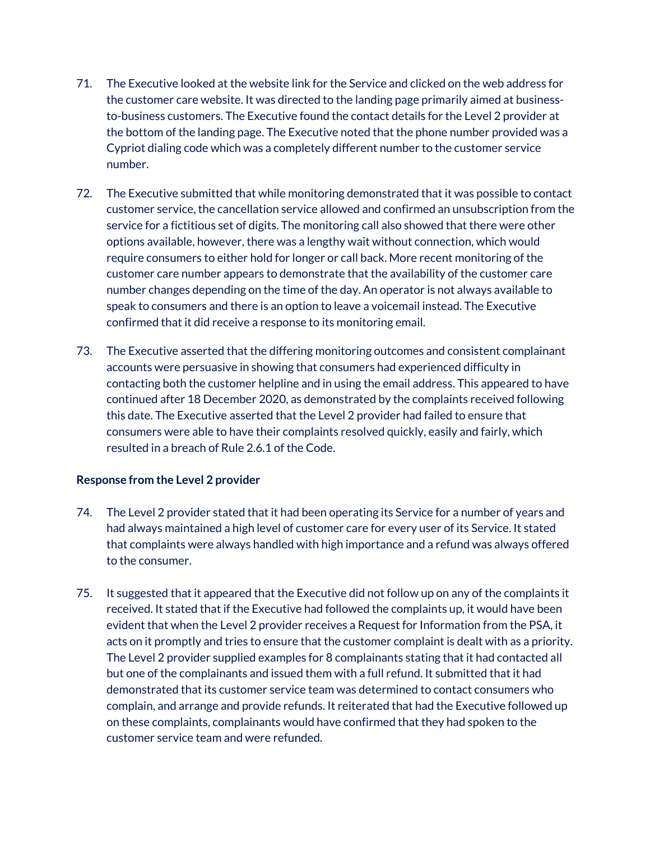- 71. The Executive looked at the website link for the Service and clicked on the web address for the customer care website. It was directed to the landing page primarily aimed at businessto-business customers. The Executive found the contact details for the Level 2 provider at the bottom of the landing page. The Executive noted that the phone number provided was a Cypriot dialing code which was a completely different number to the customer service number.
- 72. The Executive submitted that while monitoring demonstrated that it was possible to contact customer service, the cancellation service allowed and confirmed an unsubscription from the service for a fictitious set of digits. The monitoring call also showed that there were other options available, however, there was a lengthy wait without connection, which would require consumers to either hold for longer or call back. More recent monitoring of the customer care number appears to demonstrate that the availability of the customer care number changes depending on the time of the day. An operator is not always available to speak to consumers and there is an option to leave a voicemail instead. The Executive confirmed that it did receive a response to its monitoring email.
- 73. The Executive asserted that the differing monitoring outcomes and consistent complainant accounts were persuasive in showing that consumers had experienced difficulty in contacting both the customer helpline and in using the email address. This appeared to have continued after 18 December 2020, as demonstrated by the complaints received following this date. The Executive asserted that the Level 2 provider had failed to ensure that consumers were able to have their complaints resolved quickly, easily and fairly, which resulted in a breach of Rule 2.6.1 of the Code.

## **Response from the Level 2 provider**

- 74. The Level 2 provider stated that it had been operating its Service for a number of years and had always maintained a high level of customer care for every user of its Service. It stated that complaints were always handled with high importance and a refund was always offered to the consumer.
- 75. It suggested that it appeared that the Executive did not follow up on any of the complaints it received. It stated that if the Executive had followed the complaints up, it would have been evident that when the Level 2 provider receives a Request for Information from the PSA, it acts on it promptly and tries to ensure that the customer complaint is dealt with as a priority. The Level 2 provider supplied examples for 8 complainants stating that it had contacted all but one of the complainants and issued them with a full refund. It submitted that it had demonstrated that its customer service team was determined to contact consumers who complain, and arrange and provide refunds. It reiterated that had the Executive followed up on these complaints, complainants would have confirmed that they had spoken to the customer service team and were refunded.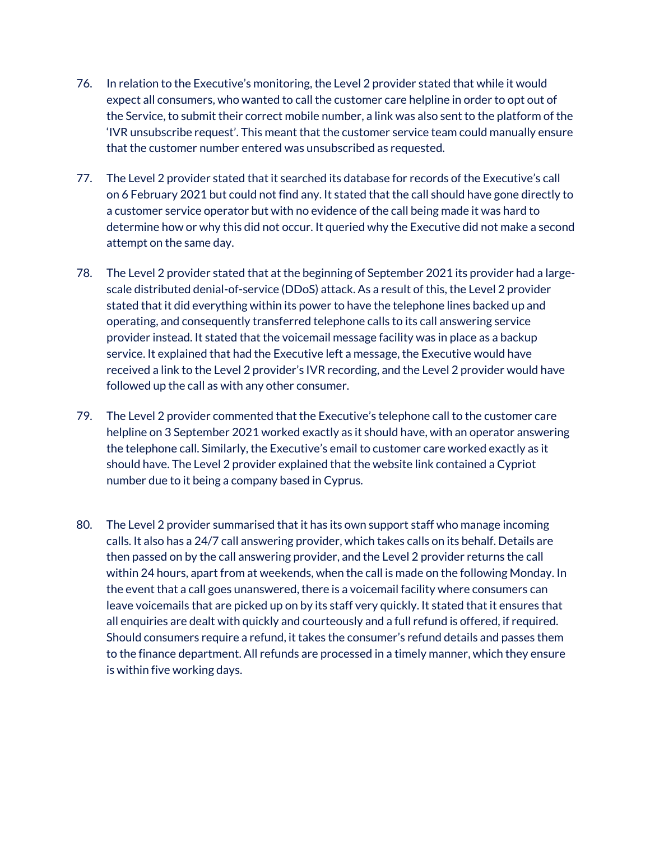- 76. In relation to the Executive's monitoring, the Level 2 provider stated that while it would expect all consumers, who wanted to call the customer care helpline in order to opt out of the Service, to submit their correct mobile number, a link was also sent to the platform of the 'IVR unsubscribe request'. This meant that the customer service team could manually ensure that the customer number entered was unsubscribed as requested.
- 77. The Level 2 provider stated that it searched its database for records of the Executive's call on 6 February 2021 but could not find any. It stated that the call should have gone directly to a customer service operator but with no evidence of the call being made it was hard to determine how or why this did not occur. It queried why the Executive did not make a second attempt on the same day.
- 78. The Level 2 provider stated that at the beginning of September 2021 its provider had a largescale distributed denial-of-service (DDoS) attack. As a result of this, the Level 2 provider stated that it did everything within its power to have the telephone lines backed up and operating, and consequently transferred telephone calls to its call answering service provider instead. It stated that the voicemail message facility was in place as a backup service. It explained that had the Executive left a message, the Executive would have received a link to the Level 2 provider's IVR recording, and the Level 2 provider would have followed up the call as with any other consumer.
- 79. The Level 2 provider commented that the Executive's telephone call to the customer care helpline on 3 September 2021 worked exactly as it should have, with an operator answering the telephone call. Similarly, the Executive's email to customer care worked exactly as it should have. The Level 2 provider explained that the website link contained a Cypriot number due to it being a company based in Cyprus.
- 80. The Level 2 provider summarised that it has its own support staff who manage incoming calls. It also has a 24/7 call answering provider, which takes calls on its behalf. Details are then passed on by the call answering provider, and the Level 2 provider returns the call within 24 hours, apart from at weekends, when the call is made on the following Monday. In the event that a call goes unanswered, there is a voicemail facility where consumers can leave voicemails that are picked up on by its staff very quickly. It stated that it ensures that all enquiries are dealt with quickly and courteously and a full refund is offered, if required. Should consumers require a refund, it takes the consumer's refund details and passes them to the finance department. All refunds are processed in a timely manner, which they ensure is within five working days.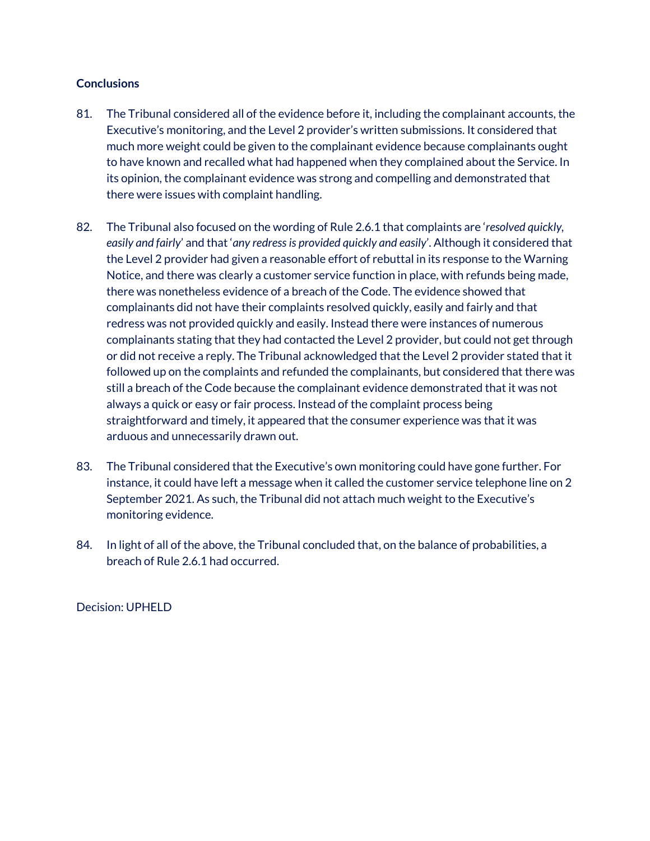#### **Conclusions**

- 81. The Tribunal considered all of the evidence before it, including the complainant accounts, the Executive's monitoring, and the Level 2 provider's written submissions. It considered that much more weight could be given to the complainant evidence because complainants ought to have known and recalled what had happened when they complained about the Service. In its opinion, the complainant evidence was strong and compelling and demonstrated that there were issues with complaint handling.
- 82. The Tribunal also focused on the wording of Rule 2.6.1 that complaints are '*resolved quickly, easily and fairly*' and that '*any redress is provided quickly and easily*'. Although it considered that the Level 2 provider had given a reasonable effort of rebuttal in its response to the Warning Notice, and there was clearly a customer service function in place, with refunds being made, there was nonetheless evidence of a breach of the Code. The evidence showed that complainants did not have their complaints resolved quickly, easily and fairly and that redress was not provided quickly and easily. Instead there were instances of numerous complainants stating that they had contacted the Level 2 provider, but could not get through or did not receive a reply. The Tribunal acknowledged that the Level 2 provider stated that it followed up on the complaints and refunded the complainants, but considered that there was still a breach of the Code because the complainant evidence demonstrated that it was not always a quick or easy or fair process. Instead of the complaint process being straightforward and timely, it appeared that the consumer experience was that it was arduous and unnecessarily drawn out.
- 83. The Tribunal considered that the Executive's own monitoring could have gone further. For instance, it could have left a message when it called the customer service telephone line on 2 September 2021. As such, the Tribunal did not attach much weight to the Executive's monitoring evidence.
- 84. In light of all of the above, the Tribunal concluded that, on the balance of probabilities, a breach of Rule 2.6.1 had occurred.

Decision: UPHELD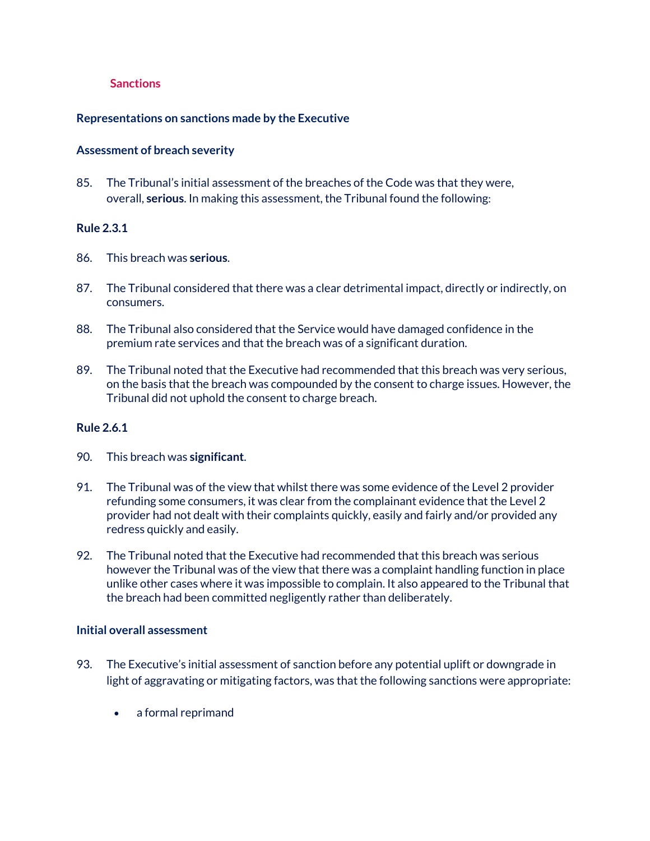#### **Sanctions**

#### **Representations on sanctions made by the Executive**

#### **Assessment of breach severity**

85. The Tribunal's initial assessment of the breaches of the Code was that they were, overall, **serious**. In making this assessment, the Tribunal found the following:

#### **Rule 2.3.1**

- 86. This breach was **serious**.
- 87. The Tribunal considered that there was a clear detrimental impact, directly or indirectly, on consumers.
- 88. The Tribunal also considered that the Service would have damaged confidence in the premium rate services and that the breach was of a significant duration.
- 89. The Tribunal noted that the Executive had recommended that this breach was very serious, on the basis that the breach was compounded by the consent to charge issues. However, the Tribunal did not uphold the consent to charge breach.

#### **Rule 2.6.1**

- 90. This breach was **significant**.
- 91. The Tribunal was of the view that whilst there was some evidence of the Level 2 provider refunding some consumers, it was clear from the complainant evidence that the Level 2 provider had not dealt with their complaints quickly, easily and fairly and/or provided any redress quickly and easily.
- 92. The Tribunal noted that the Executive had recommended that this breach was serious however the Tribunal was of the view that there was a complaint handling function in place unlike other cases where it was impossible to complain. It also appeared to the Tribunal that the breach had been committed negligently rather than deliberately.

#### **Initial overall assessment**

- 93. The Executive's initial assessment of sanction before any potential uplift or downgrade in light of aggravating or mitigating factors, was that the following sanctions were appropriate:
	- a formal reprimand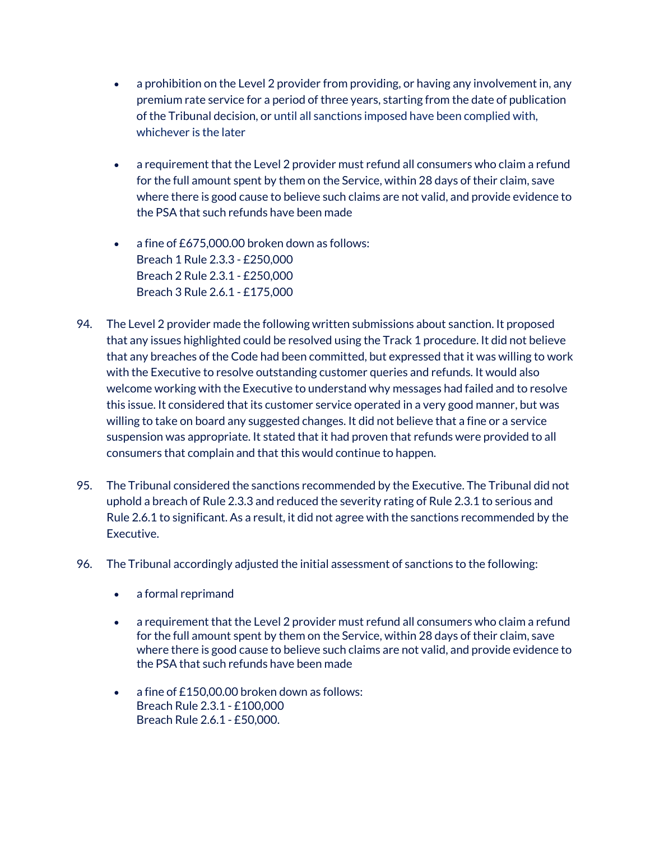- a prohibition on the Level 2 provider from providing, or having any involvement in, any premium rate service for a period of three years, starting from the date of publication of the Tribunal decision, or until all sanctions imposed have been complied with, whichever is the later
- a requirement that the Level 2 provider must refund all consumers who claim a refund for the full amount spent by them on the Service, within 28 days of their claim, save where there is good cause to believe such claims are not valid, and provide evidence to the PSA that such refunds have been made
- a fine of £675,000.00 broken down as follows: Breach 1 Rule 2.3.3 - £250,000 Breach 2 Rule 2.3.1 - £250,000 Breach 3 Rule 2.6.1 - £175,000
- 94. The Level 2 provider made the following written submissions about sanction. It proposed that any issues highlighted could be resolved using the Track 1 procedure. It did not believe that any breaches of the Code had been committed, but expressed that it was willing to work with the Executive to resolve outstanding customer queries and refunds. It would also welcome working with the Executive to understand why messages had failed and to resolve this issue. It considered that its customer service operated in a very good manner, but was willing to take on board any suggested changes. It did not believe that a fine or a service suspension was appropriate. It stated that it had proven that refunds were provided to all consumers that complain and that this would continue to happen.
- 95. The Tribunal considered the sanctions recommended by the Executive. The Tribunal did not uphold a breach of Rule 2.3.3 and reduced the severity rating of Rule 2.3.1 to serious and Rule 2.6.1 to significant. As a result, it did not agree with the sanctions recommended by the Executive.
- 96. The Tribunal accordingly adjusted the initial assessment of sanctions to the following:
	- a formal reprimand
	- a requirement that the Level 2 provider must refund all consumers who claim a refund for the full amount spent by them on the Service, within 28 days of their claim, save where there is good cause to believe such claims are not valid, and provide evidence to the PSA that such refunds have been made
	- a fine of £150,00.00 broken down as follows: Breach Rule 2.3.1 - £100,000 Breach Rule 2.6.1 - £50,000.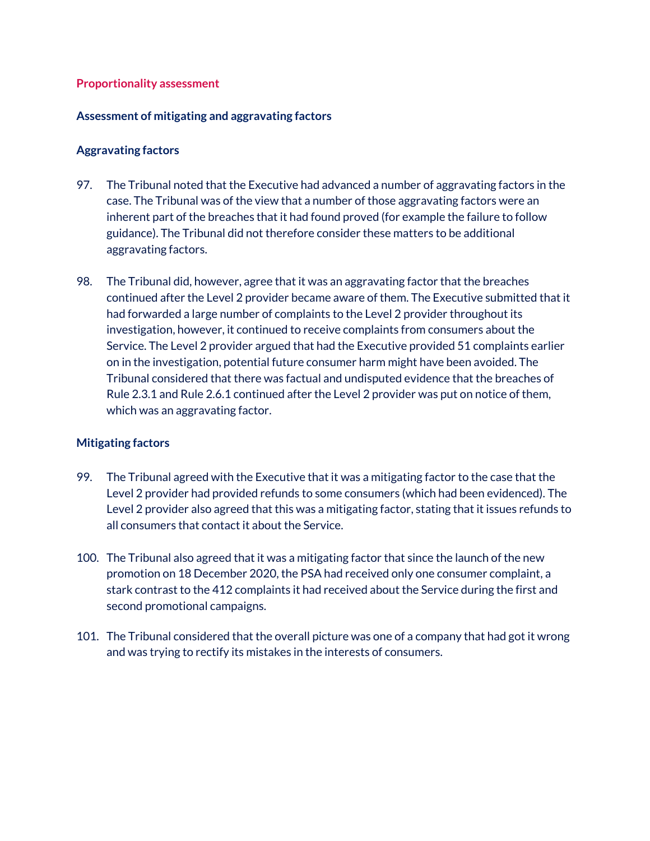#### **Proportionality assessment**

## **Assessment of mitigating and aggravating factors**

## **Aggravating factors**

- 97. The Tribunal noted that the Executive had advanced a number of aggravating factors in the case. The Tribunal was of the view that a number of those aggravating factors were an inherent part of the breaches that it had found proved (for example the failure to follow guidance). The Tribunal did not therefore consider these matters to be additional aggravating factors.
- 98. The Tribunal did, however, agree that it was an aggravating factor that the breaches continued after the Level 2 provider became aware of them. The Executive submitted that it had forwarded a large number of complaints to the Level 2 provider throughout its investigation, however, it continued to receive complaints from consumers about the Service. The Level 2 provider argued that had the Executive provided 51 complaints earlier on in the investigation, potential future consumer harm might have been avoided. The Tribunal considered that there was factual and undisputed evidence that the breaches of Rule 2.3.1 and Rule 2.6.1 continued after the Level 2 provider was put on notice of them, which was an aggravating factor.

## **Mitigating factors**

- 99. The Tribunal agreed with the Executive that it was a mitigating factor to the case that the Level 2 provider had provided refunds to some consumers (which had been evidenced). The Level 2 provider also agreed that this was a mitigating factor, stating that it issues refunds to all consumers that contact it about the Service.
- 100. The Tribunal also agreed that it was a mitigating factor that since the launch of the new promotion on 18 December 2020, the PSA had received only one consumer complaint, a stark contrast to the 412 complaints it had received about the Service during the first and second promotional campaigns.
- 101. The Tribunal considered that the overall picture was one of a company that had got it wrong and was trying to rectify its mistakes in the interests of consumers.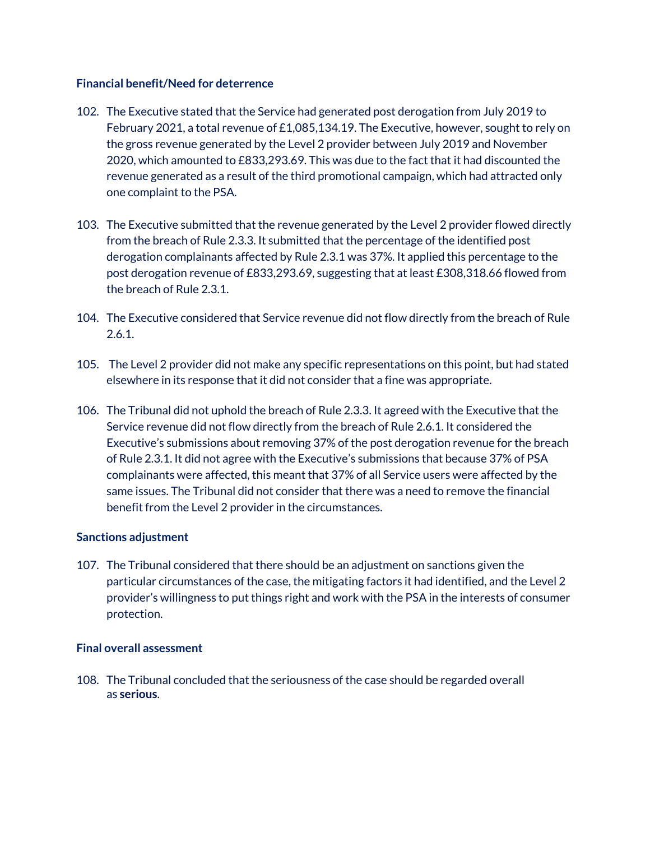#### **Financial benefit/Need for deterrence**

- 102. The Executive stated that the Service had generated post derogation from July 2019 to February 2021, a total revenue of £1,085,134.19. The Executive, however, sought to rely on the gross revenue generated by the Level 2 provider between July 2019 and November 2020, which amounted to £833,293.69. This was due to the fact that it had discounted the revenue generated as a result of the third promotional campaign, which had attracted only one complaint to the PSA.
- 103. The Executive submitted that the revenue generated by the Level 2 provider flowed directly from the breach of Rule 2.3.3. It submitted that the percentage of the identified post derogation complainants affected by Rule 2.3.1 was 37%. It applied this percentage to the post derogation revenue of £833,293.69, suggesting that at least £308,318.66 flowed from the breach of Rule 2.3.1.
- 104. The Executive considered that Service revenue did not flow directly from the breach of Rule 2.6.1.
- 105. The Level 2 provider did not make any specific representations on this point, but had stated elsewhere in its response that it did not consider that a fine was appropriate.
- 106. The Tribunal did not uphold the breach of Rule 2.3.3. It agreed with the Executive that the Service revenue did not flow directly from the breach of Rule 2.6.1. It considered the Executive's submissions about removing 37% of the post derogation revenue for the breach of Rule 2.3.1. It did not agree with the Executive's submissions that because 37% of PSA complainants were affected, this meant that 37% of all Service users were affected by the same issues. The Tribunal did not consider that there was a need to remove the financial benefit from the Level 2 provider in the circumstances.

## **Sanctions adjustment**

107. The Tribunal considered that there should be an adjustment on sanctions given the particular circumstances of the case, the mitigating factors it had identified, and the Level 2 provider's willingness to put things right and work with the PSA in the interests of consumer protection.

## **Final overall assessment**

108. The Tribunal concluded that the seriousness of the case should be regarded overall as **serious**.